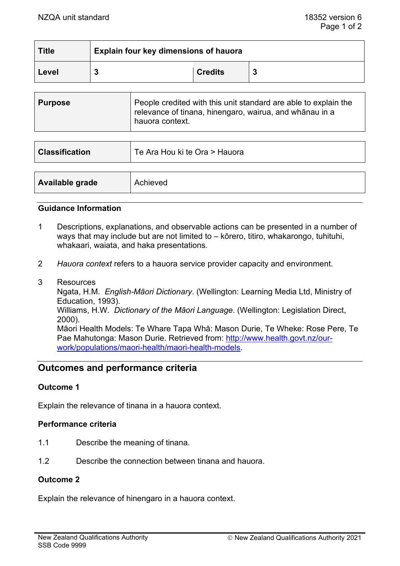| <b>Title</b> | Explain four key dimensions of hauora |                |  |
|--------------|---------------------------------------|----------------|--|
| Level        |                                       | <b>Credits</b> |  |

| relevance of tinana, hinengaro, wairua, and whānau in a<br>hauora context. | <b>Purpose</b> | People credited with this unit standard are able to explain the |
|----------------------------------------------------------------------------|----------------|-----------------------------------------------------------------|
|                                                                            |                |                                                                 |

| <b>Classification</b> | Te Ara Hou ki te Ora > Hauora |  |
|-----------------------|-------------------------------|--|
|                       |                               |  |
| Available grade       | Achieved                      |  |

#### **Guidance Information**

- 1 Descriptions, explanations, and observable actions can be presented in a number of ways that may include but are not limited to – kōrero, titiro, whakarongo, tuhituhi, whakaari, waiata, and haka presentations.
- 2 *Hauora context* refers to a hauora service provider capacity and environment.
- 3 Resources

Ngata, H.M. *English-Māori Dictionary*. (Wellington: Learning Media Ltd, Ministry of Education, 1993).

Williams, H.W. *Dictionary of the Māori Language*. (Wellington: Legislation Direct, 2000).

Māori Health Models: Te Whare Tapa Whā: Mason Durie, Te Wheke: Rose Pere, Te Pae Mahutonga: Mason Durie. Retrieved from: [http://www.health.govt.nz/our](http://www.health.govt.nz/our-work/populations/maori-health/maori-health-models)[work/populations/maori-health/maori-health-models.](http://www.health.govt.nz/our-work/populations/maori-health/maori-health-models)

# **Outcomes and performance criteria**

#### **Outcome 1**

Explain the relevance of tinana in a hauora context.

# **Performance criteria**

- 1.1 Describe the meaning of tinana.
- 1.2 Describe the connection between tinana and hauora.

#### **Outcome 2**

Explain the relevance of hinengaro in a hauora context.